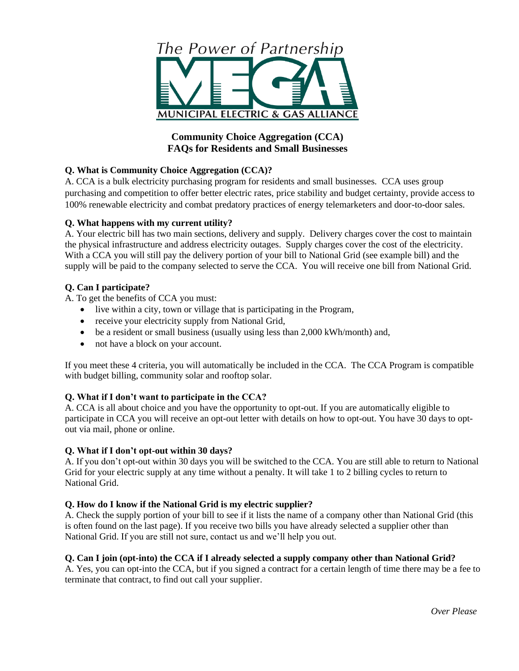

# **Community Choice Aggregation (CCA) FAQs for Residents and Small Businesses**

# **Q. What is Community Choice Aggregation (CCA)?**

A. CCA is a bulk electricity purchasing program for residents and small businesses. CCA uses group purchasing and competition to offer better electric rates, price stability and budget certainty, provide access to 100% renewable electricity and combat predatory practices of energy telemarketers and door-to-door sales.

## **Q. What happens with my current utility?**

A. Your electric bill has two main sections, delivery and supply. Delivery charges cover the cost to maintain the physical infrastructure and address electricity outages. Supply charges cover the cost of the electricity. With a CCA you will still pay the delivery portion of your bill to National Grid (see example bill) and the supply will be paid to the company selected to serve the CCA. You will receive one bill from National Grid.

# **Q. Can I participate?**

A. To get the benefits of CCA you must:

- live within a city, town or village that is participating in the Program,
- receive your electricity supply from National Grid,
- be a resident or small business (usually using less than 2,000 kWh/month) and,
- not have a block on your account.

If you meet these 4 criteria, you will automatically be included in the CCA. The CCA Program is compatible with budget billing, community solar and rooftop solar.

# **Q. What if I don't want to participate in the CCA?**

A. CCA is all about choice and you have the opportunity to opt-out. If you are automatically eligible to participate in CCA you will receive an opt-out letter with details on how to opt-out. You have 30 days to optout via mail, phone or online.

#### **Q. What if I don't opt-out within 30 days?**

A. If you don't opt-out within 30 days you will be switched to the CCA. You are still able to return to National Grid for your electric supply at any time without a penalty. It will take 1 to 2 billing cycles to return to National Grid.

# **Q. How do I know if the National Grid is my electric supplier?**

A. Check the supply portion of your bill to see if it lists the name of a company other than National Grid (this is often found on the last page). If you receive two bills you have already selected a supplier other than National Grid. If you are still not sure, contact us and we'll help you out.

#### **Q. Can I join (opt-into) the CCA if I already selected a supply company other than National Grid?**

A. Yes, you can opt-into the CCA, but if you signed a contract for a certain length of time there may be a fee to terminate that contract, to find out call your supplier.